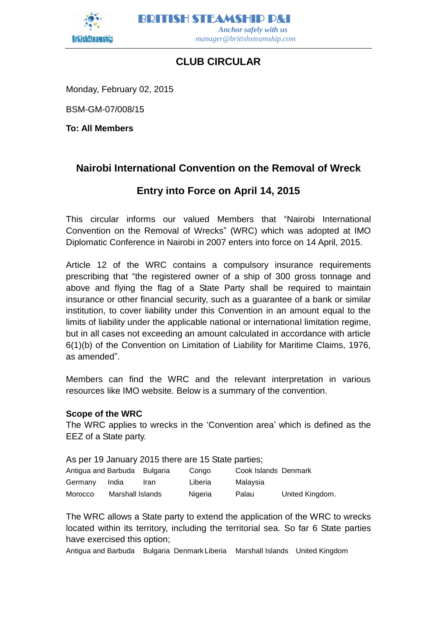

BRITISH STEAMSHIP P&I  *Anchor safely with us manager@britishsteamship.com* 

# **CLUB CIRCULAR**

Monday, February 02, 2015

BSM-GM-07/008/15

**To: All Members**

## **Nairobi International Convention on the Removal of Wreck**

## **Entry into Force on April 14, 2015**

This circular informs our valued Members that "Nairobi International Convention on the Removal of Wrecks" (WRC) which was adopted at IMO Diplomatic Conference in Nairobi in 2007 enters into force on 14 April, 2015.

Article 12 of the WRC contains a compulsory insurance requirements prescribing that "the registered owner of a ship of 300 gross tonnage and above and flying the flag of a State Party shall be required to maintain insurance or other financial security, such as a guarantee of a bank or similar institution, to cover liability under this Convention in an amount equal to the limits of liability under the applicable national or international limitation regime, but in all cases not exceeding an amount calculated in accordance with article 6(1)(b) of the Convention on Limitation of Liability for Maritime Claims, 1976, as amended".

Members can find the WRC and the relevant interpretation in various resources like IMO website. Below is a summary of the convention.

## **Scope of the WRC**

The WRC applies to wrecks in the 'Convention area' which is defined as the EEZ of a State party.

As per 19 January 2015 there are 15 State parties; Antigua and Barbuda Bulgaria Congo Cook Islands Denmark

| Germany | India            | Iran | Liberia | Malaysia |                 |
|---------|------------------|------|---------|----------|-----------------|
| Morocco | Marshall Islands |      | Nigeria | Palau    | United Kingdom. |

The WRC allows a State party to extend the application of the WRC to wrecks located within its territory, including the territorial sea. So far 6 State parties have exercised this option;

Antigua and Barbuda Bulgaria Denmark Liberia Marshall Islands United Kingdom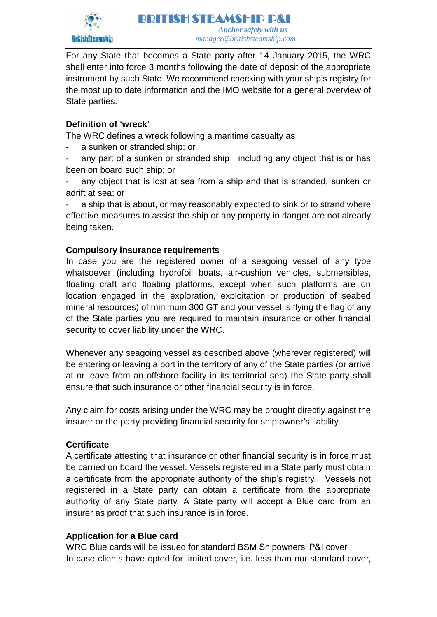

BRITISH STEAMSHIP P&I  *Anchor safely with us manager@britishsteamship.com* 

For any State that becomes a State party after 14 January 2015, the WRC shall enter into force 3 months following the date of deposit of the appropriate instrument by such State. We recommend checking with your ship's registry for the most up to date information and the IMO website for a general overview of State parties.

## **Definition of 'wreck'**

The WRC defines a wreck following a maritime casualty as

a sunken or stranded ship; or

any part of a sunken or stranded ship including any object that is or has been on board such ship; or

any object that is lost at sea from a ship and that is stranded, sunken or adrift at sea; or

a ship that is about, or may reasonably expected to sink or to strand where effective measures to assist the ship or any property in danger are not already being taken.

## **Compulsory insurance requirements**

In case you are the registered owner of a seagoing vessel of any type whatsoever (including hydrofoil boats, air-cushion vehicles, submersibles, floating craft and floating platforms, except when such platforms are on location engaged in the exploration, exploitation or production of seabed mineral resources) of minimum 300 GT and your vessel is flying the flag of any of the State parties you are required to maintain insurance or other financial security to cover liability under the WRC.

Whenever any seagoing vessel as described above (wherever registered) will be entering or leaving a port in the territory of any of the State parties (or arrive at or leave from an offshore facility in its territorial sea) the State party shall ensure that such insurance or other financial security is in force.

Any claim for costs arising under the WRC may be brought directly against the insurer or the party providing financial security for ship owner's liability.

## **Certificate**

A certificate attesting that insurance or other financial security is in force must be carried on board the vessel. Vessels registered in a State party must obtain a certificate from the appropriate authority of the ship's registry. Vessels not registered in a State party can obtain a certificate from the appropriate authority of any State party. A State party will accept a Blue card from an insurer as proof that such insurance is in force.

## **Application for a Blue card**

WRC Blue cards will be issued for standard BSM Shipowners' P&I cover. In case clients have opted for limited cover, i.e. less than our standard cover,